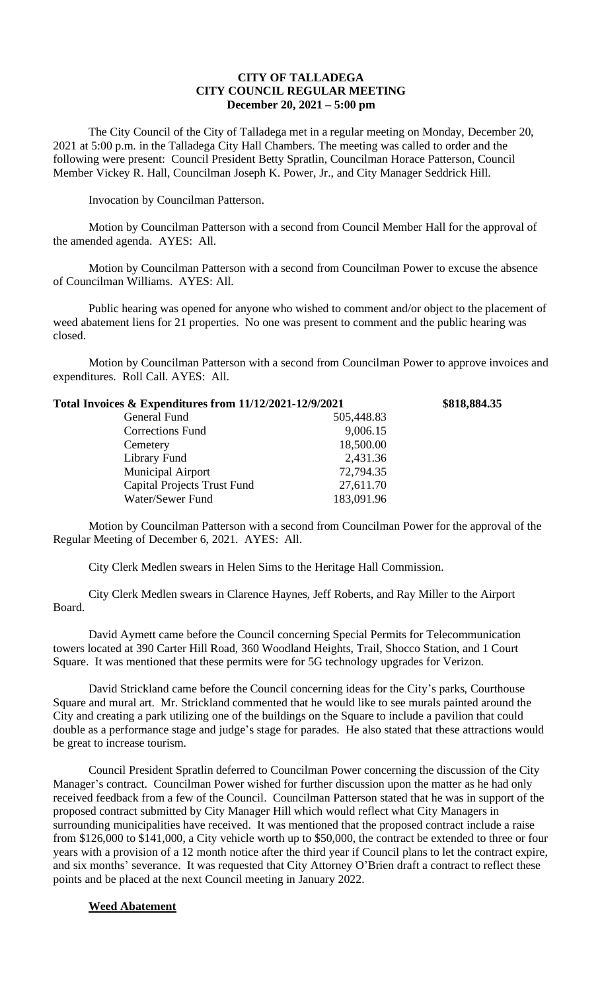## **CITY OF TALLADEGA CITY COUNCIL REGULAR MEETING December 20, 2021 – 5:00 pm**

The City Council of the City of Talladega met in a regular meeting on Monday, December 20, 2021 at 5:00 p.m. in the Talladega City Hall Chambers. The meeting was called to order and the following were present: Council President Betty Spratlin, Councilman Horace Patterson, Council Member Vickey R. Hall, Councilman Joseph K. Power, Jr., and City Manager Seddrick Hill.

Invocation by Councilman Patterson.

Motion by Councilman Patterson with a second from Council Member Hall for the approval of the amended agenda. AYES: All.

Motion by Councilman Patterson with a second from Councilman Power to excuse the absence of Councilman Williams. AYES: All.

Public hearing was opened for anyone who wished to comment and/or object to the placement of weed abatement liens for 21 properties. No one was present to comment and the public hearing was closed.

Motion by Councilman Patterson with a second from Councilman Power to approve invoices and expenditures. Roll Call. AYES: All.

| Total Invoices & Expenditures from 11/12/2021-12/9/2021 |            | \$818,884.35 |
|---------------------------------------------------------|------------|--------------|
| General Fund                                            | 505,448.83 |              |
| Corrections Fund                                        | 9,006.15   |              |
| Cemetery                                                | 18,500.00  |              |
| Library Fund                                            | 2,431.36   |              |
| <b>Municipal Airport</b>                                | 72,794.35  |              |
| <b>Capital Projects Trust Fund</b>                      | 27,611.70  |              |
| Water/Sewer Fund                                        | 183,091.96 |              |
|                                                         |            |              |

Motion by Councilman Patterson with a second from Councilman Power for the approval of the Regular Meeting of December 6, 2021. AYES: All.

City Clerk Medlen swears in Helen Sims to the Heritage Hall Commission.

City Clerk Medlen swears in Clarence Haynes, Jeff Roberts, and Ray Miller to the Airport Board.

David Aymett came before the Council concerning Special Permits for Telecommunication towers located at 390 Carter Hill Road, 360 Woodland Heights, Trail, Shocco Station, and 1 Court Square. It was mentioned that these permits were for 5G technology upgrades for Verizon.

David Strickland came before the Council concerning ideas for the City's parks, Courthouse Square and mural art. Mr. Strickland commented that he would like to see murals painted around the City and creating a park utilizing one of the buildings on the Square to include a pavilion that could double as a performance stage and judge's stage for parades. He also stated that these attractions would be great to increase tourism.

Council President Spratlin deferred to Councilman Power concerning the discussion of the City Manager's contract. Councilman Power wished for further discussion upon the matter as he had only received feedback from a few of the Council. Councilman Patterson stated that he was in support of the proposed contract submitted by City Manager Hill which would reflect what City Managers in surrounding municipalities have received. It was mentioned that the proposed contract include a raise from \$126,000 to \$141,000, a City vehicle worth up to \$50,000, the contract be extended to three or four years with a provision of a 12 month notice after the third year if Council plans to let the contract expire, and six months' severance. It was requested that City Attorney O'Brien draft a contract to reflect these points and be placed at the next Council meeting in January 2022.

## **Weed Abatement**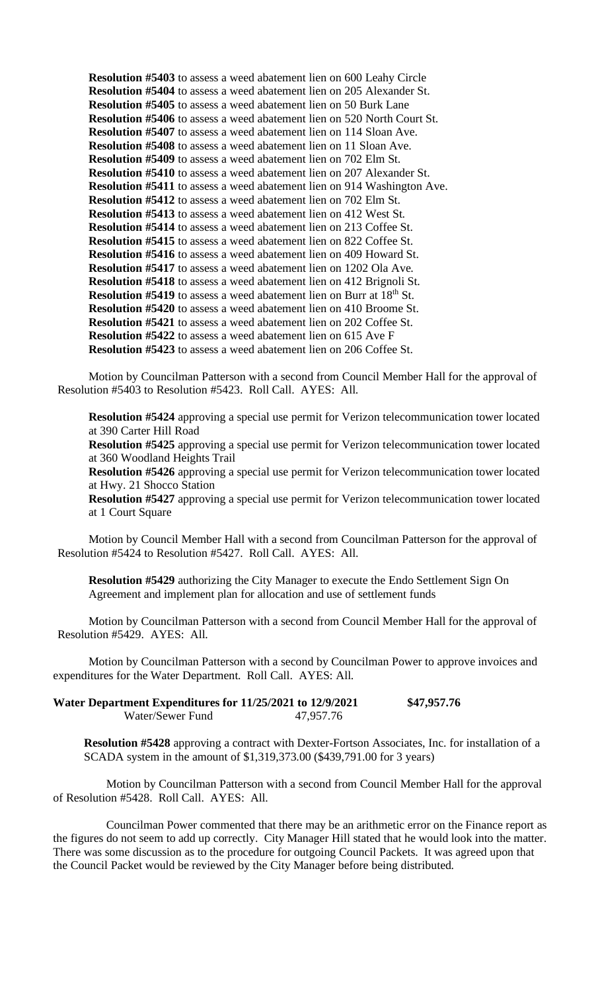**Resolution #5403** to assess a weed abatement lien on 600 Leahy Circle **Resolution #5404** to assess a weed abatement lien on 205 Alexander St. **Resolution #5405** to assess a weed abatement lien on 50 Burk Lane **Resolution #5406** to assess a weed abatement lien on 520 North Court St. **Resolution #5407** to assess a weed abatement lien on 114 Sloan Ave. **Resolution #5408** to assess a weed abatement lien on 11 Sloan Ave. **Resolution #5409** to assess a weed abatement lien on 702 Elm St. **Resolution #5410** to assess a weed abatement lien on 207 Alexander St. **Resolution #5411** to assess a weed abatement lien on 914 Washington Ave. **Resolution #5412** to assess a weed abatement lien on 702 Elm St. **Resolution #5413** to assess a weed abatement lien on 412 West St. **Resolution #5414** to assess a weed abatement lien on 213 Coffee St. **Resolution #5415** to assess a weed abatement lien on 822 Coffee St. **Resolution #5416** to assess a weed abatement lien on 409 Howard St. **Resolution #5417** to assess a weed abatement lien on 1202 Ola Ave. **Resolution #5418** to assess a weed abatement lien on 412 Brignoli St. **Resolution #5419** to assess a weed abatement lien on Burr at 18<sup>th</sup> St. **Resolution #5420** to assess a weed abatement lien on 410 Broome St. **Resolution #5421** to assess a weed abatement lien on 202 Coffee St. **Resolution #5422** to assess a weed abatement lien on 615 Ave F **Resolution #5423** to assess a weed abatement lien on 206 Coffee St.

Motion by Councilman Patterson with a second from Council Member Hall for the approval of Resolution #5403 to Resolution #5423. Roll Call. AYES: All.

**Resolution #5424** approving a special use permit for Verizon telecommunication tower located at 390 Carter Hill Road

**Resolution #5425** approving a special use permit for Verizon telecommunication tower located at 360 Woodland Heights Trail

**Resolution #5426** approving a special use permit for Verizon telecommunication tower located at Hwy. 21 Shocco Station

**Resolution #5427** approving a special use permit for Verizon telecommunication tower located at 1 Court Square

Motion by Council Member Hall with a second from Councilman Patterson for the approval of Resolution #5424 to Resolution #5427. Roll Call. AYES: All.

**Resolution #5429** authorizing the City Manager to execute the Endo Settlement Sign On Agreement and implement plan for allocation and use of settlement funds

Motion by Councilman Patterson with a second from Council Member Hall for the approval of Resolution #5429. AYES: All.

Motion by Councilman Patterson with a second by Councilman Power to approve invoices and expenditures for the Water Department. Roll Call. AYES: All.

| Water Department Expenditures for 11/25/2021 to 12/9/2021 |           | \$47,957.76 |
|-----------------------------------------------------------|-----------|-------------|
| Water/Sewer Fund                                          | 47,957.76 |             |

**Resolution #5428** approving a contract with Dexter-Fortson Associates, Inc. for installation of a SCADA system in the amount of \$1,319,373.00 (\$439,791.00 for 3 years)

Motion by Councilman Patterson with a second from Council Member Hall for the approval of Resolution #5428. Roll Call. AYES: All.

Councilman Power commented that there may be an arithmetic error on the Finance report as the figures do not seem to add up correctly. City Manager Hill stated that he would look into the matter. There was some discussion as to the procedure for outgoing Council Packets. It was agreed upon that the Council Packet would be reviewed by the City Manager before being distributed.